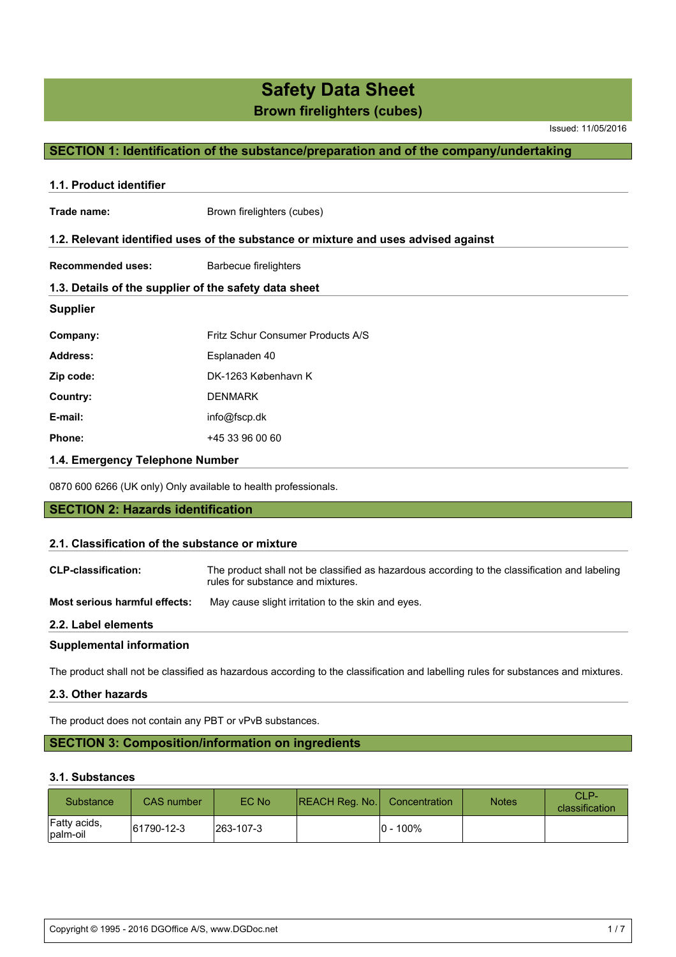Issued: 11/05/2016

# **SECTION 1: Identification of the substance/preparation and of the company/undertaking**

| 1.1. Product identifier                               |                                                                                    |  |  |  |
|-------------------------------------------------------|------------------------------------------------------------------------------------|--|--|--|
| Trade name:                                           | Brown firelighters (cubes)                                                         |  |  |  |
|                                                       | 1.2. Relevant identified uses of the substance or mixture and uses advised against |  |  |  |
| <b>Recommended uses:</b>                              | <b>Barbecue firelighters</b>                                                       |  |  |  |
| 1.3. Details of the supplier of the safety data sheet |                                                                                    |  |  |  |
| <b>Supplier</b>                                       |                                                                                    |  |  |  |
| Company:                                              | Fritz Schur Consumer Products A/S                                                  |  |  |  |
| <b>Address:</b>                                       | Esplanaden 40                                                                      |  |  |  |
| Zip code:                                             | DK-1263 København K                                                                |  |  |  |
| Country:                                              | <b>DENMARK</b>                                                                     |  |  |  |
| E-mail:                                               | info@fscp.dk                                                                       |  |  |  |
| Phone:                                                | +45 33 96 00 60                                                                    |  |  |  |
| 1.4. Emergency Telephone Number                       |                                                                                    |  |  |  |

0870 600 6266 (UK only) Only available to health professionals.

**SECTION 2: Hazards identification**

#### **2.1. Classification of the substance or mixture**

| <b>CLP-classification:</b>      | The product shall not be classified as hazardous according to the classification and labeling<br>rules for substance and mixtures. |
|---------------------------------|------------------------------------------------------------------------------------------------------------------------------------|
| Most serious harmful effects:   | May cause slight irritation to the skin and eyes.                                                                                  |
| 2.2. Label elements             |                                                                                                                                    |
| <b>Supplemental information</b> |                                                                                                                                    |

The product shall not be classified as hazardous according to the classification and labelling rules for substances and mixtures.

### **2.3. Other hazards**

The product does not contain any PBT or vPvB substances.

# **SECTION 3: Composition/information on ingredients**

#### **3.1. Substances**

| <b>Substance</b>         | CAS number | EC No      | REACH Reg. No. | Concentration | <b>Notes</b> | $CL$ P-<br>classification |
|--------------------------|------------|------------|----------------|---------------|--------------|---------------------------|
| Fatty acids,<br>palm-oil | 61790-12-3 | 1263-107-3 |                | l0 - 100%     |              |                           |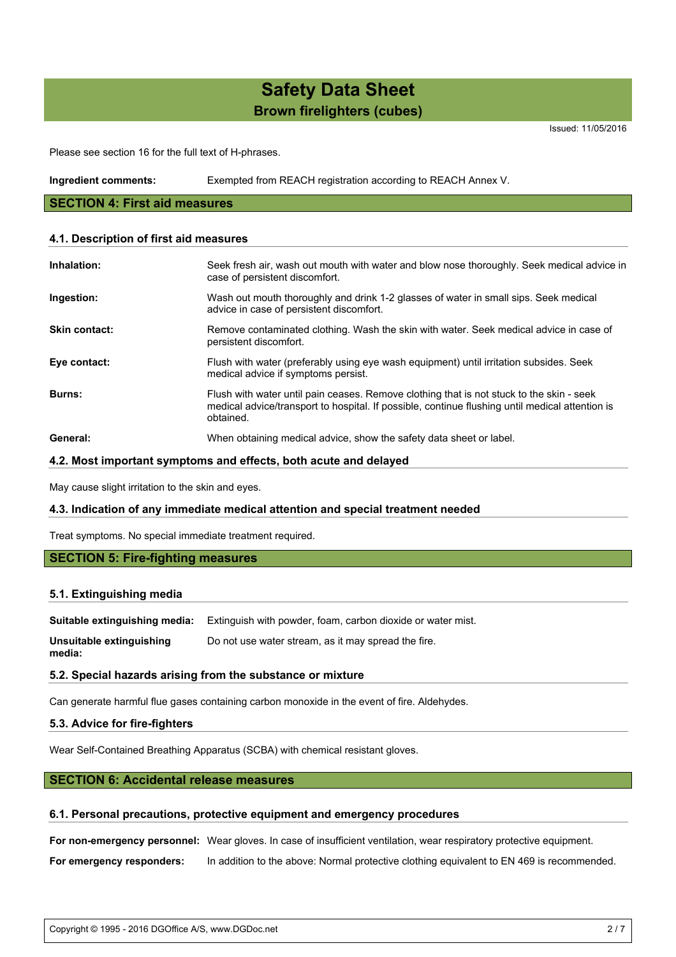Issued: 11/05/2016

Please see section 16 for the full text of H-phrases.

| Ingredient comments: | Exempted from REACH registration according to REACH Annex V. |  |
|----------------------|--------------------------------------------------------------|--|
|                      |                                                              |  |

#### **SECTION 4: First aid measures**

#### **4.1. Description of first aid measures**

| Inhalation:          | Seek fresh air, wash out mouth with water and blow nose thoroughly. Seek medical advice in<br>case of persistent discomfort.                                                                             |
|----------------------|----------------------------------------------------------------------------------------------------------------------------------------------------------------------------------------------------------|
| Ingestion:           | Wash out mouth thoroughly and drink 1-2 glasses of water in small sips. Seek medical<br>advice in case of persistent discomfort.                                                                         |
| <b>Skin contact:</b> | Remove contaminated clothing. Wash the skin with water. Seek medical advice in case of<br>persistent discomfort.                                                                                         |
| Eye contact:         | Flush with water (preferably using eye wash equipment) until irritation subsides. Seek<br>medical advice if symptoms persist.                                                                            |
| <b>Burns:</b>        | Flush with water until pain ceases. Remove clothing that is not stuck to the skin - seek<br>medical advice/transport to hospital. If possible, continue flushing until medical attention is<br>obtained. |
| General:             | When obtaining medical advice, show the safety data sheet or label.                                                                                                                                      |

#### **4.2. Most important symptoms and effects, both acute and delayed**

May cause slight irritation to the skin and eyes.

#### **4.3. Indication of any immediate medical attention and special treatment needed**

Treat symptoms. No special immediate treatment required.

#### **SECTION 5: Fire-fighting measures**

#### **5.1. Extinguishing media**

**Suitable extinguishing media:** Extinguish with powder, foam, carbon dioxide or water mist.

**Unsuitable extinguishing media:** Do not use water stream, as it may spread the fire.

#### **5.2. Special hazards arising from the substance or mixture**

Can generate harmful flue gases containing carbon monoxide in the event of fire. Aldehydes.

#### **5.3. Advice for fire-fighters**

Wear Self-Contained Breathing Apparatus (SCBA) with chemical resistant gloves.

# **SECTION 6: Accidental release measures**

#### **6.1. Personal precautions, protective equipment and emergency procedures**

**For non-emergency personnel:** Wear gloves. In case of insufficient ventilation, wear respiratory protective equipment.

**For emergency responders:** In addition to the above: Normal protective clothing equivalent to EN 469 is recommended.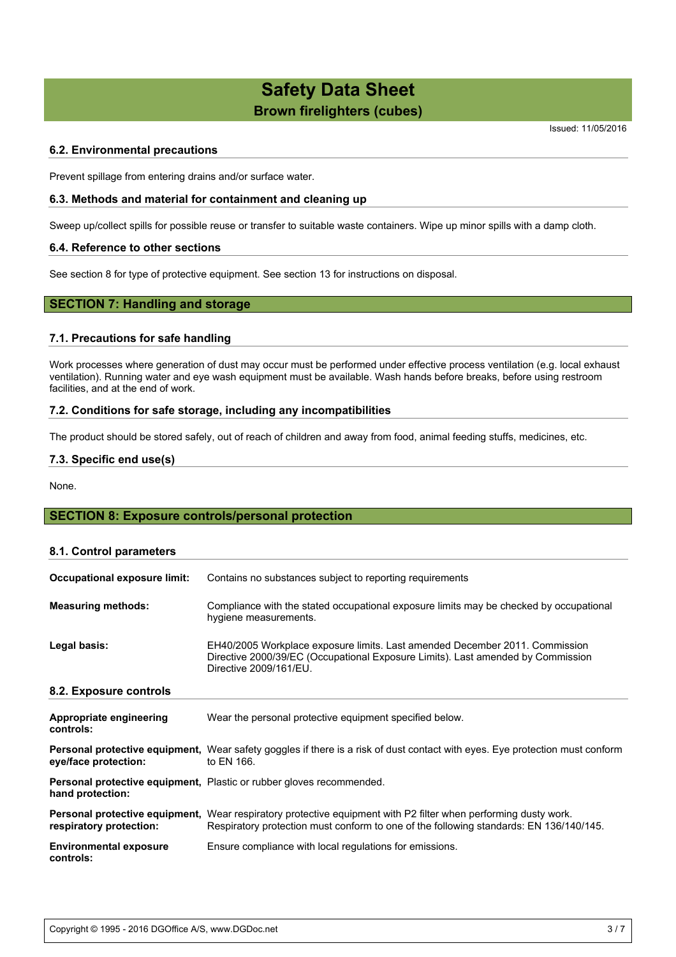Issued: 11/05/2016

### **6.2. Environmental precautions**

Prevent spillage from entering drains and/or surface water.

#### **6.3. Methods and material for containment and cleaning up**

Sweep up/collect spills for possible reuse or transfer to suitable waste containers. Wipe up minor spills with a damp cloth.

#### **6.4. Reference to other sections**

See section 8 for type of protective equipment. See section 13 for instructions on disposal.

# **SECTION 7: Handling and storage**

#### **7.1. Precautions for safe handling**

Work processes where generation of dust may occur must be performed under effective process ventilation (e.g. local exhaust ventilation). Running water and eye wash equipment must be available. Wash hands before breaks, before using restroom facilities, and at the end of work.

#### **7.2. Conditions for safe storage, including any incompatibilities**

The product should be stored safely, out of reach of children and away from food, animal feeding stuffs, medicines, etc.

#### **7.3. Specific end use(s)**

None.

# **SECTION 8: Exposure controls/personal protection**

#### **8.1. Control parameters**

| Occupational exposure limit:               | Contains no substances subject to reporting requirements                                                                                                                                                  |
|--------------------------------------------|-----------------------------------------------------------------------------------------------------------------------------------------------------------------------------------------------------------|
| <b>Measuring methods:</b>                  | Compliance with the stated occupational exposure limits may be checked by occupational<br>hygiene measurements.                                                                                           |
| Legal basis:                               | EH40/2005 Workplace exposure limits. Last amended December 2011. Commission<br>Directive 2000/39/EC (Occupational Exposure Limits). Last amended by Commission<br>Directive 2009/161/EU.                  |
| 8.2. Exposure controls                     |                                                                                                                                                                                                           |
| Appropriate engineering<br>controls:       | Wear the personal protective equipment specified below.                                                                                                                                                   |
| eye/face protection:                       | <b>Personal protective equipment,</b> Wear safety goggles if there is a risk of dust contact with eyes. Eye protection must conform<br>to EN 166.                                                         |
| hand protection:                           | <b>Personal protective equipment, Plastic or rubber gloves recommended.</b>                                                                                                                               |
| respiratory protection:                    | Personal protective equipment, Wear respiratory protective equipment with P2 filter when performing dusty work.<br>Respiratory protection must conform to one of the following standards: EN 136/140/145. |
| <b>Environmental exposure</b><br>controls: | Ensure compliance with local regulations for emissions.                                                                                                                                                   |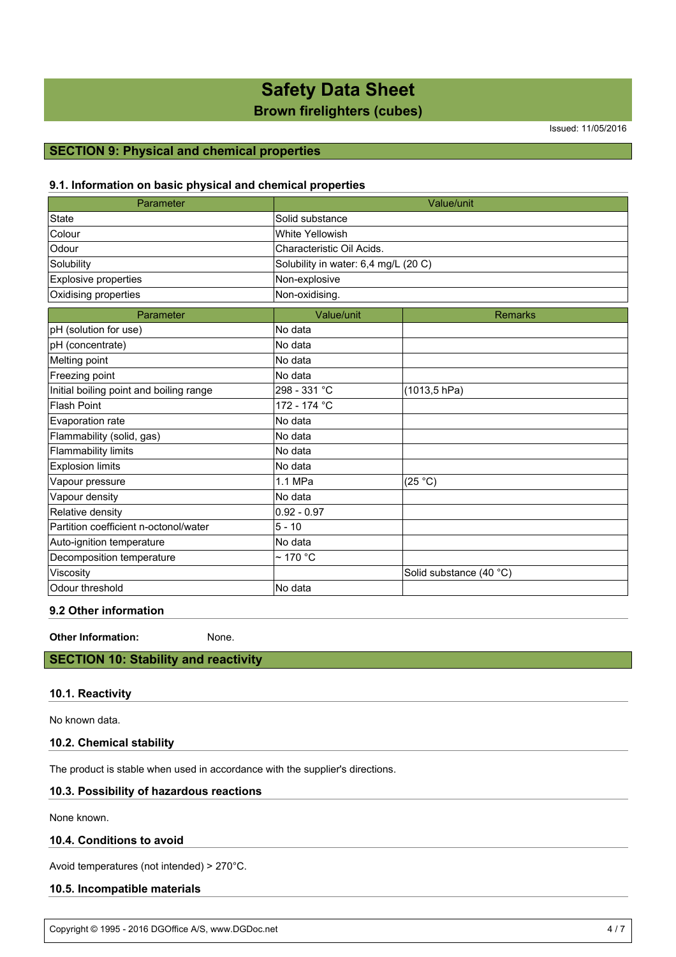# **Safety Data Sheet**

# **Brown firelighters (cubes)**

Issued: 11/05/2016

# **SECTION 9: Physical and chemical properties**

# **9.1. Information on basic physical and chemical properties**

| Parameter                               | Value/unit                           |                         |  |
|-----------------------------------------|--------------------------------------|-------------------------|--|
| <b>State</b>                            | Solid substance                      |                         |  |
| Colour                                  | White Yellowish                      |                         |  |
| Odour                                   | Characteristic Oil Acids.            |                         |  |
| Solubility                              | Solubility in water: 6,4 mg/L (20 C) |                         |  |
| Explosive properties                    | Non-explosive                        |                         |  |
| Oxidising properties                    | Non-oxidising.                       |                         |  |
| Parameter                               | Value/unit                           | <b>Remarks</b>          |  |
| pH (solution for use)                   | No data                              |                         |  |
| pH (concentrate)                        | No data                              |                         |  |
| Melting point                           | No data                              |                         |  |
| Freezing point                          | No data                              |                         |  |
| Initial boiling point and boiling range | 298 - 331 °C                         | (1013, 5 hPa)           |  |
| <b>Flash Point</b>                      | 172 - 174 °C                         |                         |  |
| Evaporation rate                        | No data                              |                         |  |
| Flammability (solid, gas)               | No data                              |                         |  |
| <b>Flammability limits</b>              | No data                              |                         |  |
| <b>Explosion limits</b>                 | No data                              |                         |  |
| Vapour pressure                         | 1.1 MPa                              | (25 °C)                 |  |
| Vapour density                          | No data                              |                         |  |
| Relative density                        | $0.92 - 0.97$                        |                         |  |
| Partition coefficient n-octonol/water   | $5 - 10$                             |                         |  |
| Auto-ignition temperature               | No data                              |                         |  |
| Decomposition temperature               | $\sim$ 170 °C                        |                         |  |
| Viscosity                               |                                      | Solid substance (40 °C) |  |
| Odour threshold                         | lNo data                             |                         |  |

# **9.2 Other information**

**Other Information:** None.

# **SECTION 10: Stability and reactivity**

#### **10.1. Reactivity**

No known data.

#### **10.2. Chemical stability**

The product is stable when used in accordance with the supplier's directions.

### **10.3. Possibility of hazardous reactions**

None known.

#### **10.4. Conditions to avoid**

Avoid temperatures (not intended) > 270°C.

#### **10.5. Incompatible materials**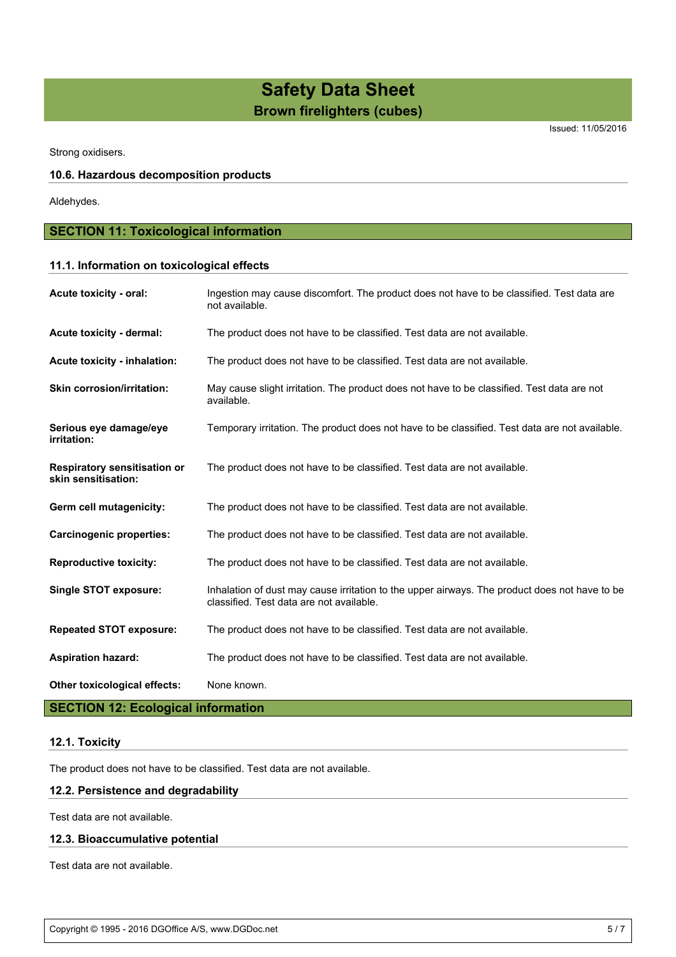Issued: 11/05/2016

Strong oxidisers.

#### **10.6. Hazardous decomposition products**

Aldehydes.

# **SECTION 11: Toxicological information**

# **11.1. Information on toxicological effects**

| Acute toxicity - oral:                                     | Ingestion may cause discomfort. The product does not have to be classified. Test data are<br>not available.                               |
|------------------------------------------------------------|-------------------------------------------------------------------------------------------------------------------------------------------|
| Acute toxicity - dermal:                                   | The product does not have to be classified. Test data are not available.                                                                  |
| Acute toxicity - inhalation:                               | The product does not have to be classified. Test data are not available.                                                                  |
| <b>Skin corrosion/irritation:</b>                          | May cause slight irritation. The product does not have to be classified. Test data are not<br>available.                                  |
| Serious eye damage/eye<br>irritation:                      | Temporary irritation. The product does not have to be classified. Test data are not available.                                            |
| <b>Respiratory sensitisation or</b><br>skin sensitisation: | The product does not have to be classified. Test data are not available.                                                                  |
| Germ cell mutagenicity:                                    | The product does not have to be classified. Test data are not available.                                                                  |
| <b>Carcinogenic properties:</b>                            | The product does not have to be classified. Test data are not available.                                                                  |
| <b>Reproductive toxicity:</b>                              | The product does not have to be classified. Test data are not available.                                                                  |
| <b>Single STOT exposure:</b>                               | Inhalation of dust may cause irritation to the upper airways. The product does not have to be<br>classified. Test data are not available. |
| <b>Repeated STOT exposure:</b>                             | The product does not have to be classified. Test data are not available.                                                                  |
| <b>Aspiration hazard:</b>                                  | The product does not have to be classified. Test data are not available.                                                                  |
| Other toxicological effects:                               | None known.                                                                                                                               |

### **SECTION 12: Ecological information**

# **12.1. Toxicity**

The product does not have to be classified. Test data are not available.

### **12.2. Persistence and degradability**

Test data are not available.

### **12.3. Bioaccumulative potential**

Test data are not available.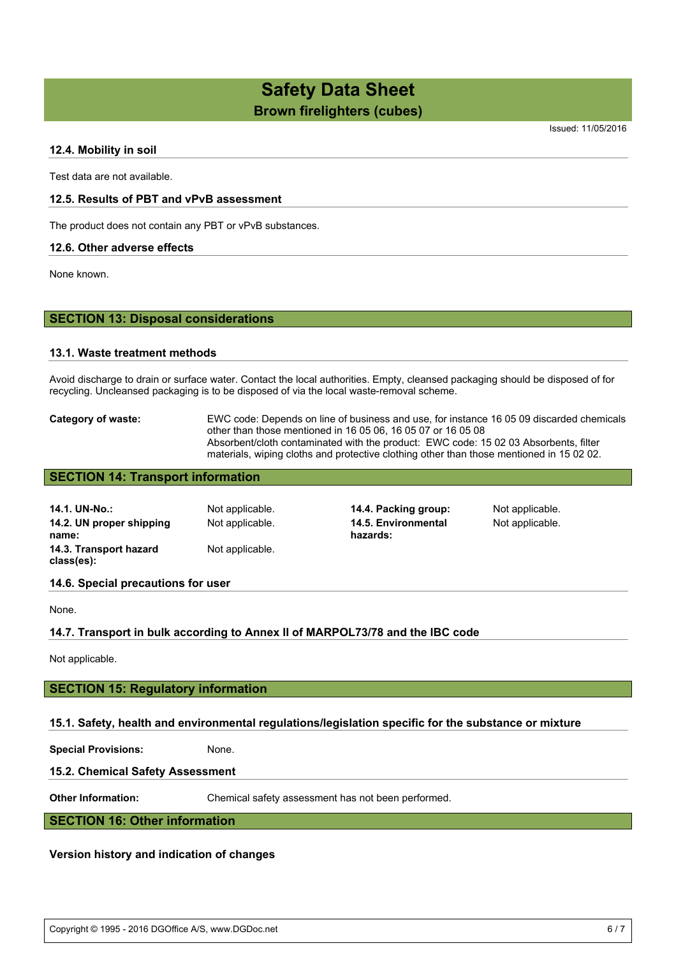Issued: 11/05/2016

### **12.4. Mobility in soil**

Test data are not available.

#### **12.5. Results of PBT and vPvB assessment**

The product does not contain any PBT or vPvB substances.

#### **12.6. Other adverse effects**

None known.

#### **SECTION 13: Disposal considerations**

#### **13.1. Waste treatment methods**

Avoid discharge to drain or surface water. Contact the local authorities. Empty, cleansed packaging should be disposed of for recycling. Uncleansed packaging is to be disposed of via the local waste-removal scheme.

#### **Category of waste:** EWC code: Depends on line of business and use, for instance 16 05 09 discarded chemicals other than those mentioned in 16 05 06, 16 05 07 or 16 05 08 Absorbent/cloth contaminated with the product: EWC code: 15 02 03 Absorbents, filter materials, wiping cloths and protective clothing other than those mentioned in 15 02 02.

# **SECTION 14: Transport information**

| 14.1. UN-No.:<br>14.2. UN proper shipping<br>name: | Not applicable.<br>Not applicable. | 14.4. Packing group:<br>14.5. Environmental<br>hazards: | Not applicable.<br>Not applicable. |
|----------------------------------------------------|------------------------------------|---------------------------------------------------------|------------------------------------|
| 14.3. Transport hazard<br>class(es):               | Not applicable.                    |                                                         |                                    |

#### **14.6. Special precautions for user**

None.

#### **14.7. Transport in bulk according to Annex II of MARPOL73/78 and the IBC code**

Not applicable.

#### **SECTION 15: Regulatory information**

#### **15.1. Safety, health and environmental regulations/legislation specific for the substance or mixture**

**Special Provisions:** None.

#### **15.2. Chemical Safety Assessment**

**Other Information:** Chemical safety assessment has not been performed.

## **SECTION 16: Other information**

#### **Version history and indication of changes**